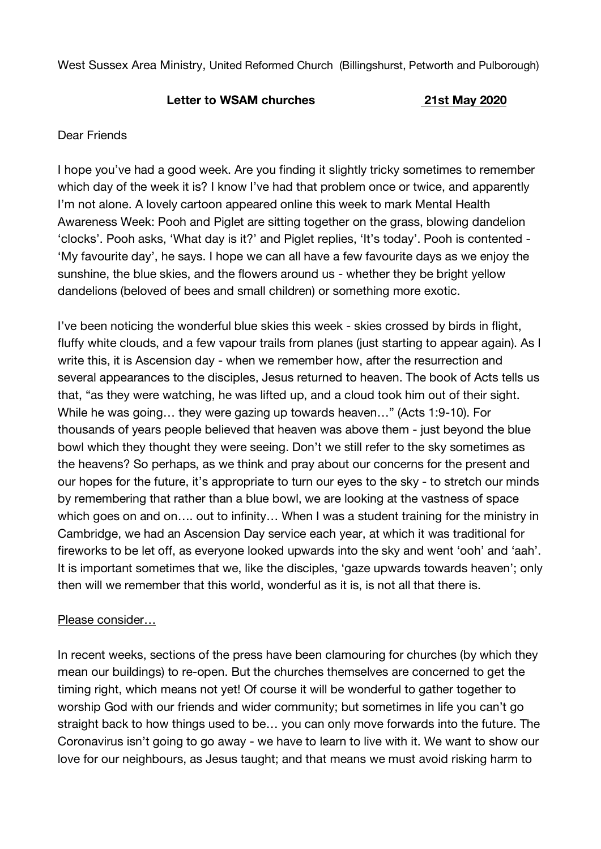West Sussex Area Ministry, United Reformed Church (Billingshurst, Petworth and Pulborough)

## **Letter to WSAM churches 21st May 2020**

## Dear Friends

I hope you've had a good week. Are you finding it slightly tricky sometimes to remember which day of the week it is? I know I've had that problem once or twice, and apparently I'm not alone. A lovely cartoon appeared online this week to mark Mental Health Awareness Week: Pooh and Piglet are sitting together on the grass, blowing dandelion 'clocks'. Pooh asks, 'What day is it?' and Piglet replies, 'It's today'. Pooh is contented - 'My favourite day', he says. I hope we can all have a few favourite days as we enjoy the sunshine, the blue skies, and the flowers around us - whether they be bright yellow dandelions (beloved of bees and small children) or something more exotic.

I've been noticing the wonderful blue skies this week - skies crossed by birds in flight, fluffy white clouds, and a few vapour trails from planes (just starting to appear again). As I write this, it is Ascension day - when we remember how, after the resurrection and several appearances to the disciples, Jesus returned to heaven. The book of Acts tells us that, "as they were watching, he was lifted up, and a cloud took him out of their sight. While he was going… they were gazing up towards heaven…" (Acts 1:9-10). For thousands of years people believed that heaven was above them - just beyond the blue bowl which they thought they were seeing. Don't we still refer to the sky sometimes as the heavens? So perhaps, as we think and pray about our concerns for the present and our hopes for the future, it's appropriate to turn our eyes to the sky - to stretch our minds by remembering that rather than a blue bowl, we are looking at the vastness of space which goes on and on…. out to infinity… When I was a student training for the ministry in Cambridge, we had an Ascension Day service each year, at which it was traditional for fireworks to be let off, as everyone looked upwards into the sky and went 'ooh' and 'aah'. It is important sometimes that we, like the disciples, 'gaze upwards towards heaven'; only then will we remember that this world, wonderful as it is, is not all that there is.

## Please consider…

In recent weeks, sections of the press have been clamouring for churches (by which they mean our buildings) to re-open. But the churches themselves are concerned to get the timing right, which means not yet! Of course it will be wonderful to gather together to worship God with our friends and wider community; but sometimes in life you can't go straight back to how things used to be… you can only move forwards into the future. The Coronavirus isn't going to go away - we have to learn to live with it. We want to show our love for our neighbours, as Jesus taught; and that means we must avoid risking harm to